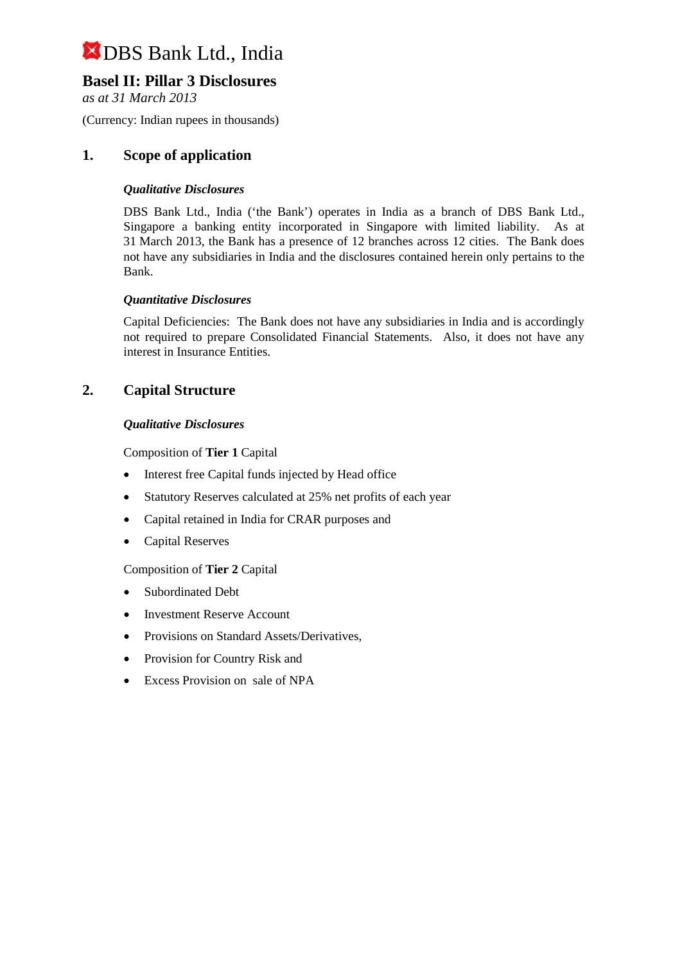## **Basel II: Pillar 3 Disclosures**

*as at 31 March 2013*

(Currency: Indian rupees in thousands)

## **1. Scope of application**

#### *Qualitative Disclosures*

DBS Bank Ltd., India ('the Bank') operates in India as a branch of DBS Bank Ltd., Singapore a banking entity incorporated in Singapore with limited liability. As at 31 March 2013, the Bank has a presence of 12 branches across 12 cities. The Bank does not have any subsidiaries in India and the disclosures contained herein only pertains to the Bank.

#### *Quantitative Disclosures*

Capital Deficiencies: The Bank does not have any subsidiaries in India and is accordingly not required to prepare Consolidated Financial Statements. Also, it does not have any interest in Insurance Entities.

## **2. Capital Structure**

#### *Qualitative Disclosures*

Composition of **Tier 1** Capital

- Interest free Capital funds injected by Head office
- Statutory Reserves calculated at 25% net profits of each year
- Capital retained in India for CRAR purposes and
- Capital Reserves

#### Composition of **Tier 2** Capital

- Subordinated Debt
- Investment Reserve Account
- Provisions on Standard Assets/Derivatives,
- Provision for Country Risk and
- Excess Provision on sale of NPA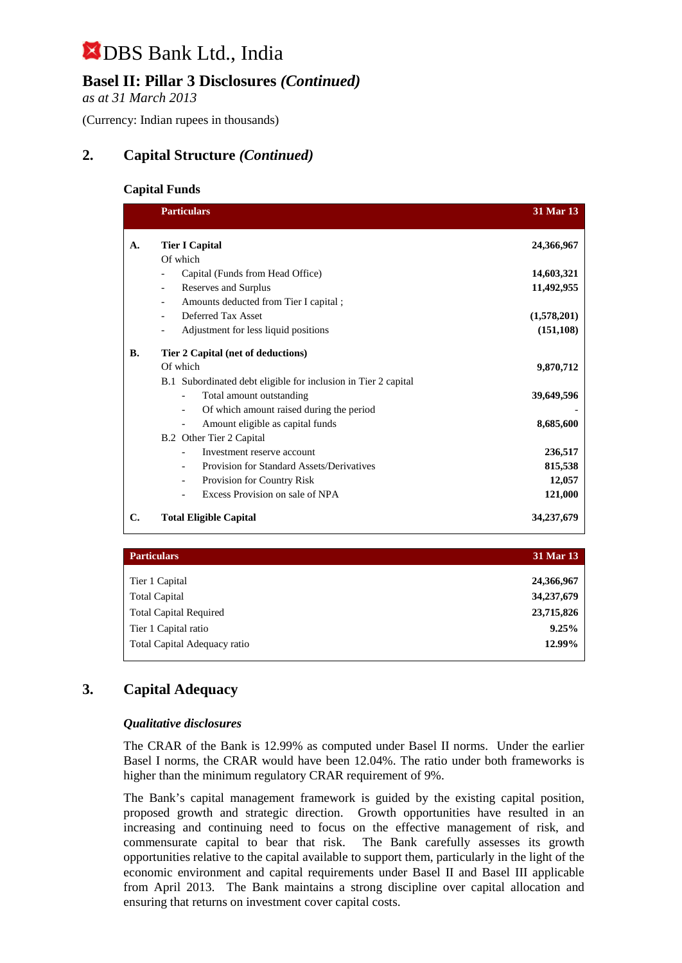# **Basel II: Pillar 3 Disclosures** *(Continued)*

*as at 31 March 2013*

(Currency: Indian rupees in thousands)

# **2. Capital Structure** *(Continued)*

#### **Capital Funds**

|           | <b>Particulars</b>                                                   | 31 Mar 13   |
|-----------|----------------------------------------------------------------------|-------------|
| A.        | <b>Tier I Capital</b>                                                | 24,366,967  |
|           | Of which                                                             |             |
|           | Capital (Funds from Head Office)                                     | 14,603,321  |
|           | Reserves and Surplus                                                 | 11,492,955  |
|           | Amounts deducted from Tier I capital;                                |             |
|           | Deferred Tax Asset                                                   | (1,578,201) |
|           | Adjustment for less liquid positions<br>$\overline{\phantom{a}}$     | (151, 108)  |
| <b>B.</b> | Tier 2 Capital (net of deductions)                                   |             |
|           | Of which                                                             | 9,870,712   |
|           | B.1 Subordinated debt eligible for inclusion in Tier 2 capital       |             |
|           | Total amount outstanding                                             | 39,649,596  |
|           | Of which amount raised during the period<br>$\overline{\phantom{a}}$ |             |
|           | Amount eligible as capital funds<br>$\overline{\phantom{a}}$         | 8,685,600   |
|           | B.2 Other Tier 2 Capital                                             |             |
|           | Investment reserve account                                           | 236,517     |
|           | Provision for Standard Assets/Derivatives                            | 815,538     |
|           | Provision for Country Risk<br>$\overline{\phantom{a}}$               | 12,057      |
|           | Excess Provision on sale of NPA                                      | 121,000     |
| C.        | <b>Total Eligible Capital</b>                                        | 34,237,679  |

| <b>Particulars</b>            | 31 Mar 13  |
|-------------------------------|------------|
| Tier 1 Capital                | 24,366,967 |
| <b>Total Capital</b>          | 34,237,679 |
| <b>Total Capital Required</b> | 23,715,826 |
| Tier 1 Capital ratio          | 9.25%      |
| Total Capital Adequacy ratio  | 12.99%     |

## **3. Capital Adequacy**

#### *Qualitative disclosures*

The CRAR of the Bank is 12.99% as computed under Basel II norms. Under the earlier Basel I norms, the CRAR would have been 12.04%. The ratio under both frameworks is higher than the minimum regulatory CRAR requirement of 9%.

The Bank's capital management framework is guided by the existing capital position, proposed growth and strategic direction. Growth opportunities have resulted in an increasing and continuing need to focus on the effective management of risk, and commensurate capital to bear that risk. The Bank carefully assesses its growth opportunities relative to the capital available to support them, particularly in the light of the economic environment and capital requirements under Basel II and Basel III applicable from April 2013. The Bank maintains a strong discipline over capital allocation and ensuring that returns on investment cover capital costs.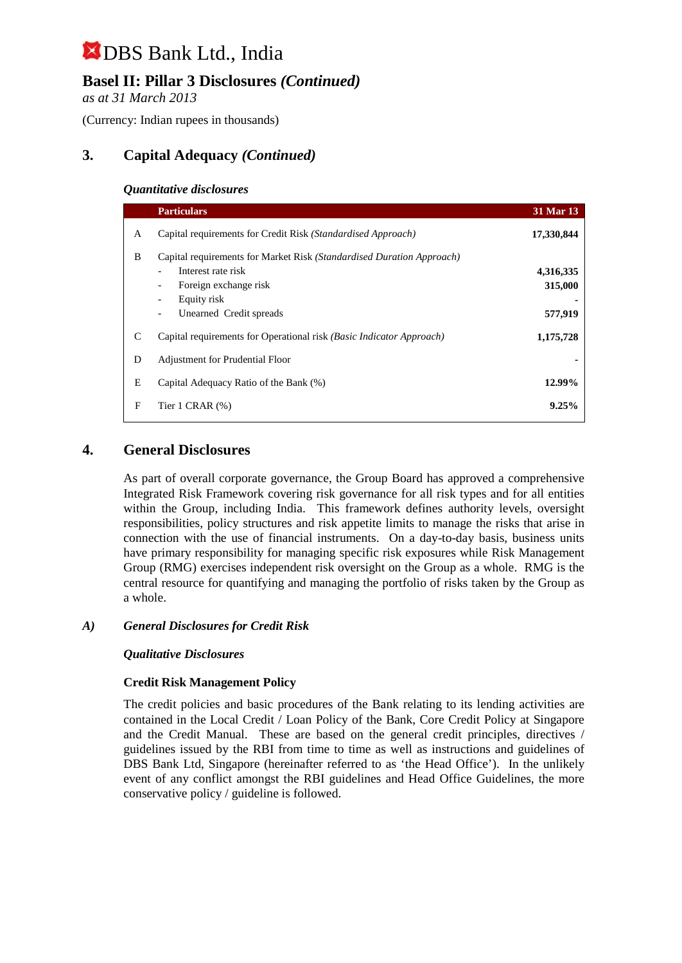# **Basel II: Pillar 3 Disclosures** *(Continued)*

*as at 31 March 2013*

(Currency: Indian rupees in thousands)

# **3. Capital Adequacy** *(Continued)*

#### *Quantitative disclosures*

|   | <b>Particulars</b>                                                                                                                                             | 31 Mar 13                       |
|---|----------------------------------------------------------------------------------------------------------------------------------------------------------------|---------------------------------|
| A | Capital requirements for Credit Risk (Standardised Approach)                                                                                                   | 17,330,844                      |
| B | Capital requirements for Market Risk (Standardised Duration Approach)<br>Interest rate risk<br>Foreign exchange risk<br>Equity risk<br>Unearned Credit spreads | 4,316,335<br>315,000<br>577,919 |
| C | Capital requirements for Operational risk (Basic Indicator Approach)                                                                                           | 1,175,728                       |
| D | <b>Adjustment for Prudential Floor</b>                                                                                                                         |                                 |
| E | Capital Adequacy Ratio of the Bank (%)                                                                                                                         | 12.99%                          |
| F | Tier 1 CRAR $(\%)$                                                                                                                                             | 9.25%                           |

### **4. General Disclosures**

As part of overall corporate governance, the Group Board has approved a comprehensive Integrated Risk Framework covering risk governance for all risk types and for all entities within the Group, including India. This framework defines authority levels, oversight responsibilities, policy structures and risk appetite limits to manage the risks that arise in connection with the use of financial instruments. On a day-to-day basis, business units have primary responsibility for managing specific risk exposures while Risk Management Group (RMG) exercises independent risk oversight on the Group as a whole. RMG is the central resource for quantifying and managing the portfolio of risks taken by the Group as a whole.

#### *A) General Disclosures for Credit Risk*

#### *Qualitative Disclosures*

#### **Credit Risk Management Policy**

The credit policies and basic procedures of the Bank relating to its lending activities are contained in the Local Credit / Loan Policy of the Bank, Core Credit Policy at Singapore and the Credit Manual. These are based on the general credit principles, directives / guidelines issued by the RBI from time to time as well as instructions and guidelines of DBS Bank Ltd, Singapore (hereinafter referred to as 'the Head Office'). In the unlikely event of any conflict amongst the RBI guidelines and Head Office Guidelines, the more conservative policy / guideline is followed.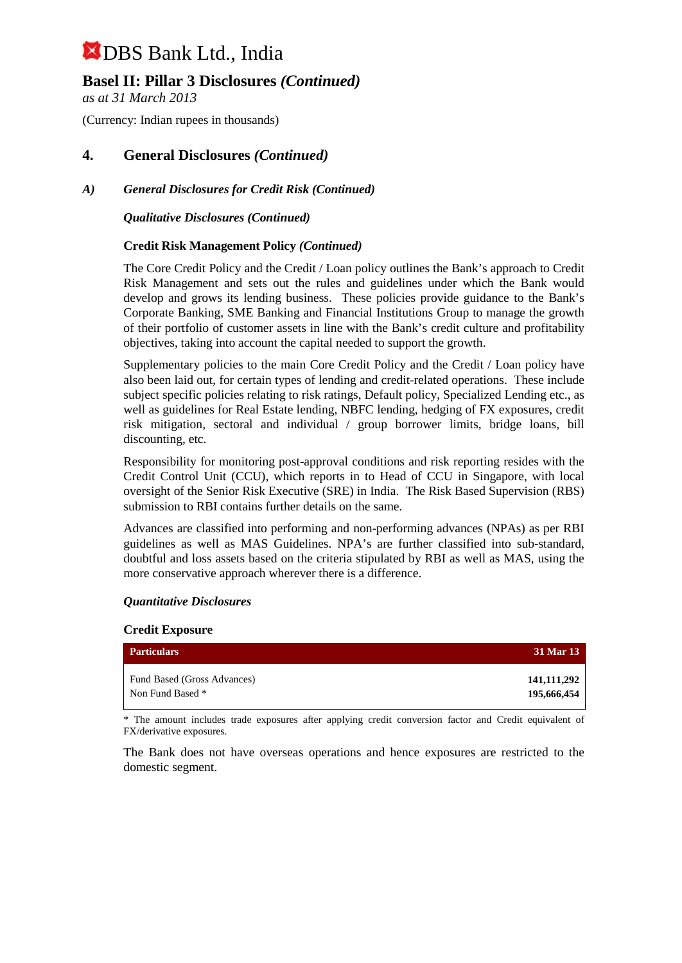## **Basel II: Pillar 3 Disclosures** *(Continued)*

*as at 31 March 2013*

(Currency: Indian rupees in thousands)

## **4. General Disclosures** *(Continued)*

### *A) General Disclosures for Credit Risk (Continued)*

*Qualitative Disclosures (Continued)*

#### **Credit Risk Management Policy** *(Continued)*

The Core Credit Policy and the Credit / Loan policy outlines the Bank's approach to Credit Risk Management and sets out the rules and guidelines under which the Bank would develop and grows its lending business. These policies provide guidance to the Bank's Corporate Banking, SME Banking and Financial Institutions Group to manage the growth of their portfolio of customer assets in line with the Bank's credit culture and profitability objectives, taking into account the capital needed to support the growth.

Supplementary policies to the main Core Credit Policy and the Credit / Loan policy have also been laid out, for certain types of lending and credit-related operations. These include subject specific policies relating to risk ratings, Default policy, Specialized Lending etc., as well as guidelines for Real Estate lending, NBFC lending, hedging of FX exposures, credit risk mitigation, sectoral and individual / group borrower limits, bridge loans, bill discounting, etc.

Responsibility for monitoring post-approval conditions and risk reporting resides with the Credit Control Unit (CCU), which reports in to Head of CCU in Singapore, with local oversight of the Senior Risk Executive (SRE) in India. The Risk Based Supervision (RBS) submission to RBI contains further details on the same.

Advances are classified into performing and non-performing advances (NPAs) as per RBI guidelines as well as MAS Guidelines. NPA's are further classified into sub-standard, doubtful and loss assets based on the criteria stipulated by RBI as well as MAS, using the more conservative approach wherever there is a difference.

#### *Quantitative Disclosures*

#### **Credit Exposure**

| <b>Particulars</b>          | 31 Mar 13   |
|-----------------------------|-------------|
| Fund Based (Gross Advances) | 141,111,292 |
| Non Fund Based *            | 195,666,454 |

\* The amount includes trade exposures after applying credit conversion factor and Credit equivalent of FX/derivative exposures.

The Bank does not have overseas operations and hence exposures are restricted to the domestic segment.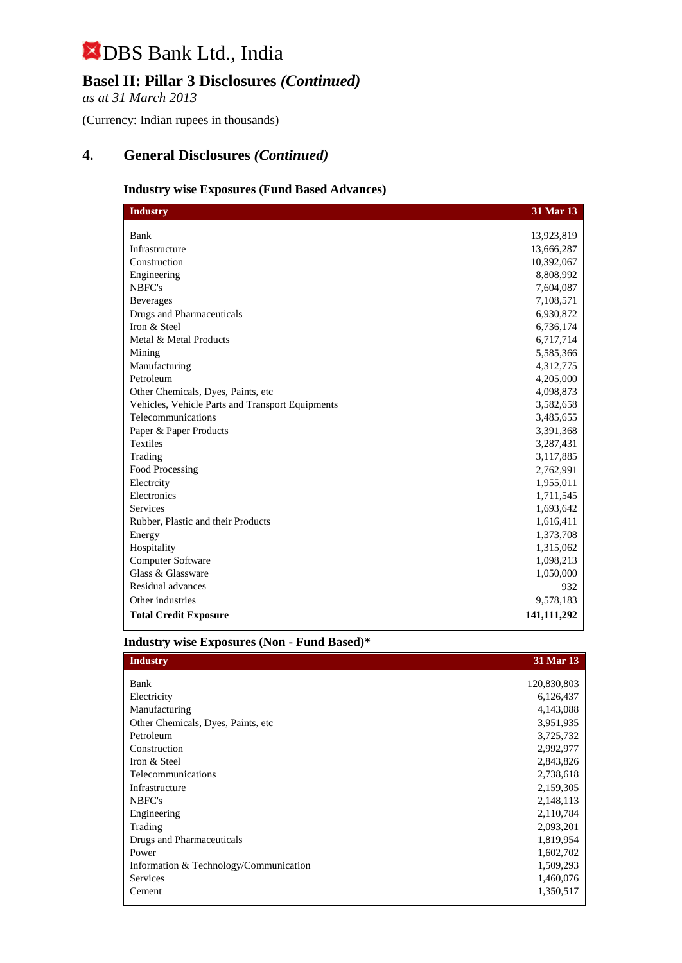## **Basel II: Pillar 3 Disclosures** *(Continued)*

*as at 31 March 2013*

(Currency: Indian rupees in thousands)

## **4. General Disclosures** *(Continued)*

#### **Industry wise Exposures (Fund Based Advances)**

| <b>Industry</b>                                  | 31 Mar 13   |
|--------------------------------------------------|-------------|
|                                                  |             |
| Bank                                             | 13,923,819  |
| Infrastructure                                   | 13,666,287  |
| Construction                                     | 10,392,067  |
| Engineering                                      | 8,808,992   |
| NBFC's                                           | 7,604,087   |
| <b>Beverages</b>                                 | 7,108,571   |
| <b>Drugs and Pharmaceuticals</b>                 | 6,930,872   |
| Iron & Steel                                     | 6,736,174   |
| Metal & Metal Products                           | 6,717,714   |
| Mining                                           | 5,585,366   |
| Manufacturing                                    | 4,312,775   |
| Petroleum                                        | 4,205,000   |
| Other Chemicals, Dyes, Paints, etc.              | 4,098,873   |
| Vehicles, Vehicle Parts and Transport Equipments | 3,582,658   |
| Telecommunications                               | 3,485,655   |
| Paper & Paper Products                           | 3,391,368   |
| <b>Textiles</b>                                  | 3,287,431   |
| Trading                                          | 3,117,885   |
| Food Processing                                  | 2,762,991   |
| Electrcity                                       | 1,955,011   |
| Electronics                                      | 1,711,545   |
| <b>Services</b>                                  | 1,693,642   |
| Rubber, Plastic and their Products               | 1,616,411   |
| Energy                                           | 1,373,708   |
| Hospitality                                      | 1,315,062   |
| Computer Software                                | 1,098,213   |
| Glass & Glassware                                | 1,050,000   |
| Residual advances                                | 932         |
| Other industries                                 | 9,578,183   |
| <b>Total Credit Exposure</b>                     | 141,111,292 |

### **Industry wise Exposures (Non - Fund Based)\***

| <b>Industry</b>                        | 31 Mar 13   |
|----------------------------------------|-------------|
| Bank                                   | 120,830,803 |
| Electricity                            | 6,126,437   |
| Manufacturing                          | 4,143,088   |
|                                        |             |
| Other Chemicals, Dyes, Paints, etc.    | 3,951,935   |
| Petroleum                              | 3,725,732   |
| Construction                           | 2,992,977   |
| Iron & Steel                           | 2,843,826   |
| Telecommunications                     | 2,738,618   |
| Infrastructure                         | 2,159,305   |
| NBFC's                                 | 2,148,113   |
| Engineering                            | 2,110,784   |
| Trading                                | 2,093,201   |
| Drugs and Pharmaceuticals              | 1,819,954   |
| Power                                  | 1,602,702   |
| Information & Technology/Communication | 1,509,293   |
| <b>Services</b>                        | 1,460,076   |
| Cement                                 | 1,350,517   |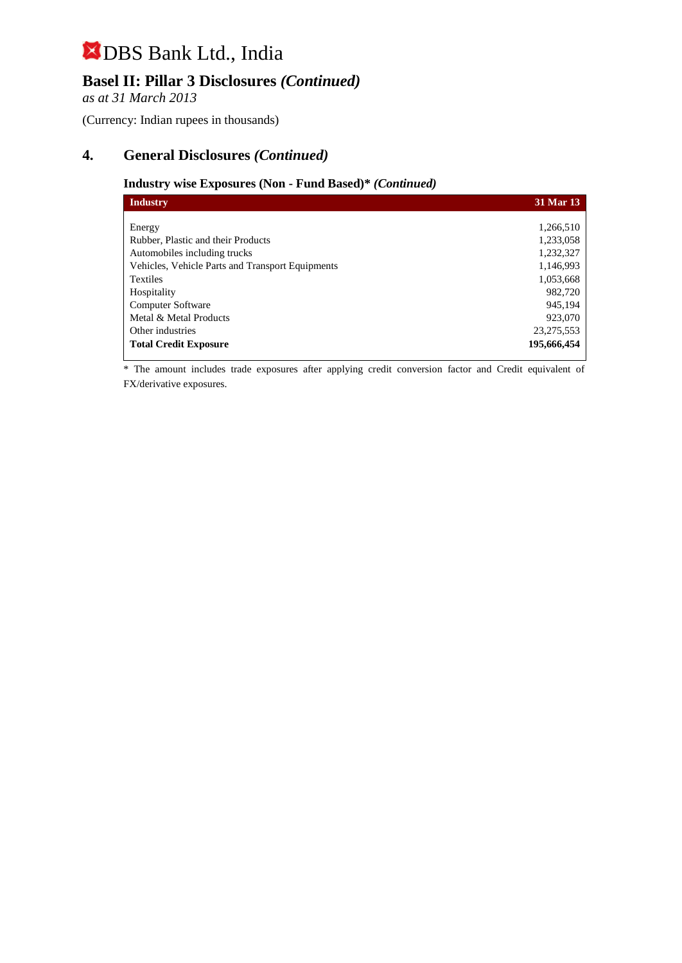# **Basel II: Pillar 3 Disclosures** *(Continued)*

*as at 31 March 2013*

(Currency: Indian rupees in thousands)

## **4. General Disclosures** *(Continued)*

#### **Industry wise Exposures (Non - Fund Based)\*** *(Continued)*

| Industry                                         | 31 Mar 13   |
|--------------------------------------------------|-------------|
|                                                  |             |
| Energy                                           | 1,266,510   |
| Rubber, Plastic and their Products               | 1,233,058   |
| Automobiles including trucks                     | 1,232,327   |
| Vehicles, Vehicle Parts and Transport Equipments | 1,146,993   |
| <b>Textiles</b>                                  | 1,053,668   |
| Hospitality                                      | 982,720     |
| Computer Software                                | 945,194     |
| Metal & Metal Products                           | 923,070     |
| Other industries                                 | 23,275,553  |
| <b>Total Credit Exposure</b>                     | 195,666,454 |

\* The amount includes trade exposures after applying credit conversion factor and Credit equivalent of FX/derivative exposures.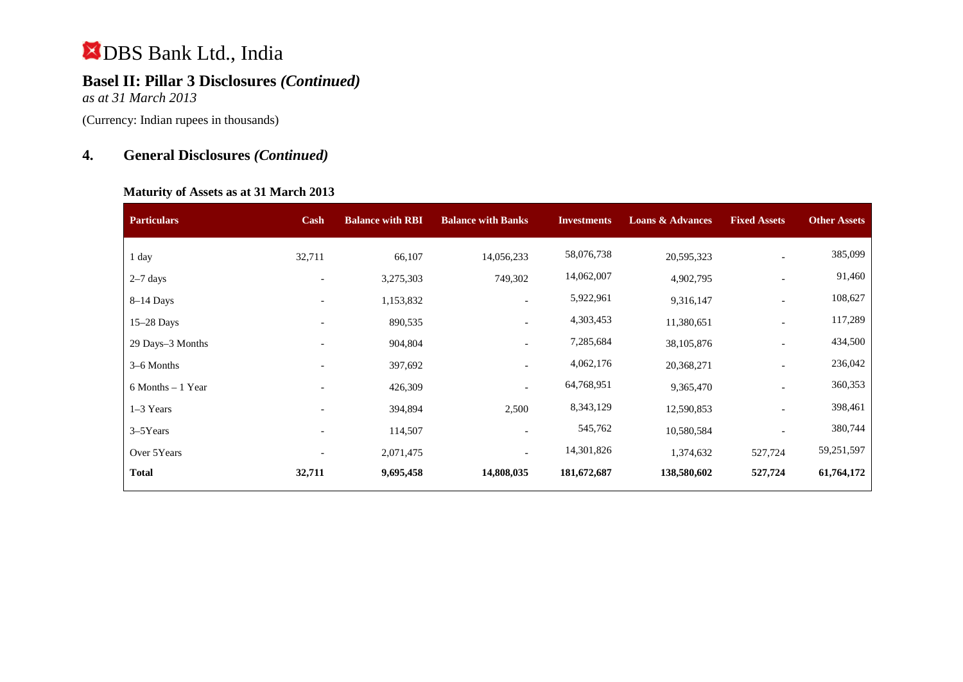# **Basel II: Pillar 3 Disclosures** *(Continued)*

*as at 31 March 2013*

(Currency: Indian rupees in thousands)

# **4. General Disclosures** *(Continued)*

#### **Maturity of Assets as at 31 March 2013**

| <b>Particulars</b>   | Cash                     | <b>Balance with RBI</b> | <b>Balance with Banks</b> | <b>Investments</b> | <b>Loans &amp; Advances</b> | <b>Fixed Assets</b>      | <b>Other Assets</b> |
|----------------------|--------------------------|-------------------------|---------------------------|--------------------|-----------------------------|--------------------------|---------------------|
| 1 day                | 32,711                   | 66,107                  | 14,056,233                | 58,076,738         | 20,595,323                  |                          | 385,099             |
| $2-7$ days           | $\overline{\phantom{a}}$ | 3,275,303               | 749,302                   | 14,062,007         | 4,902,795                   |                          | 91,460              |
| $8-14$ Days          | $\overline{\phantom{a}}$ | 1,153,832               | $\overline{\phantom{a}}$  | 5,922,961          | 9,316,147                   | $\overline{\phantom{a}}$ | 108,627             |
| $15-28$ Days         |                          | 890,535                 | $\overline{\phantom{a}}$  | 4,303,453          | 11,380,651                  | $\overline{\phantom{a}}$ | 117,289             |
| 29 Days-3 Months     |                          | 904,804                 |                           | 7,285,684          | 38,105,876                  |                          | 434,500             |
| 3–6 Months           |                          | 397,692                 | $\overline{\phantom{a}}$  | 4,062,176          | 20,368,271                  |                          | 236,042             |
| $6$ Months $-1$ Year | $\overline{\phantom{a}}$ | 426,309                 | $\overline{\phantom{a}}$  | 64,768,951         | 9,365,470                   | $\overline{\phantom{0}}$ | 360,353             |
| 1-3 Years            | $\overline{\phantom{a}}$ | 394,894                 | 2,500                     | 8,343,129          | 12,590,853                  |                          | 398,461             |
| $3-5$ Years          |                          | 114,507                 |                           | 545,762            | 10,580,584                  |                          | 380,744             |
| Over 5Years          |                          | 2,071,475               | $\overline{\phantom{0}}$  | 14,301,826         | 1,374,632                   | 527,724                  | 59,251,597          |
| <b>Total</b>         | 32,711                   | 9,695,458               | 14,808,035                | 181,672,687        | 138,580,602                 | 527,724                  | 61,764,172          |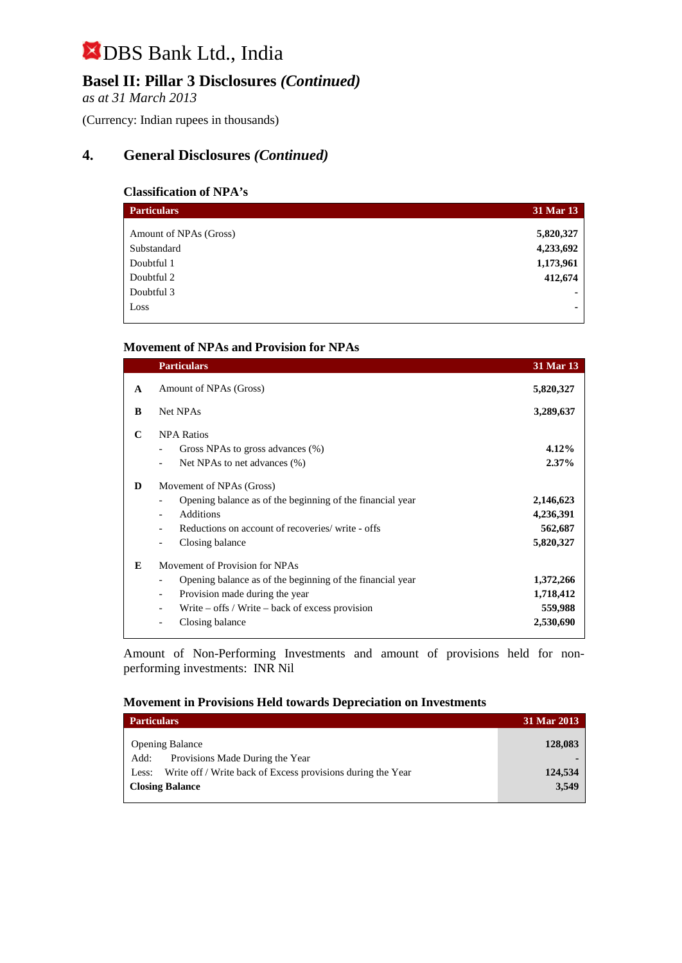# **Basel II: Pillar 3 Disclosures** *(Continued)*

*as at 31 March 2013*

(Currency: Indian rupees in thousands)

# **4. General Disclosures** *(Continued)*

### **Classification of NPA's**

| <b>Particulars</b>     | 31 Mar 13 |
|------------------------|-----------|
| Amount of NPAs (Gross) | 5,820,327 |
| Substandard            | 4,233,692 |
| Doubtful 1             | 1,173,961 |
| Doubtful 2             | 412,674   |
| Doubtful 3             |           |
| Loss                   | ۰         |

#### **Movement of NPAs and Provision for NPAs**

|              | <b>Particulars</b>                                                                                                                                                                                                                                                                     | 31 Mar 13                                      |
|--------------|----------------------------------------------------------------------------------------------------------------------------------------------------------------------------------------------------------------------------------------------------------------------------------------|------------------------------------------------|
| $\mathbf{A}$ | Amount of NPAs (Gross)                                                                                                                                                                                                                                                                 | 5,820,327                                      |
| B            | Net NPAs                                                                                                                                                                                                                                                                               | 3,289,637                                      |
| C            | <b>NPA Ratios</b><br>Gross NPAs to gross advances (%)<br>Net NPAs to net advances (%)                                                                                                                                                                                                  | $4.12\%$<br>$2.37\%$                           |
| D            | Movement of NPAs (Gross)<br>Opening balance as of the beginning of the financial year<br>$\overline{\phantom{a}}$<br><b>Additions</b><br>$\blacksquare$<br>Reductions on account of recoveries/write - offs<br>$\overline{\phantom{a}}$<br>Closing balance<br>$\overline{\phantom{a}}$ | 2,146,623<br>4,236,391<br>562,687<br>5,820,327 |
| E            | Movement of Provision for NPAs<br>Opening balance as of the beginning of the financial year<br>$\overline{\phantom{a}}$<br>Provision made during the year<br>$\overline{\phantom{a}}$<br>Write – offs / Write – back of excess provision<br>Closing balance                            | 1,372,266<br>1,718,412<br>559,988<br>2,530,690 |

Amount of Non-Performing Investments and amount of provisions held for nonperforming investments:INR Nil

### **Movement in Provisions Held towards Depreciation on Investments**

| <b>Particulars</b>                                                   | 31 Mar 2013 |
|----------------------------------------------------------------------|-------------|
| <b>Opening Balance</b>                                               | 128,083     |
| Provisions Made During the Year<br>Add:                              |             |
| Write off / Write back of Excess provisions during the Year<br>Less: | 124,534     |
| <b>Closing Balance</b>                                               | 3,549       |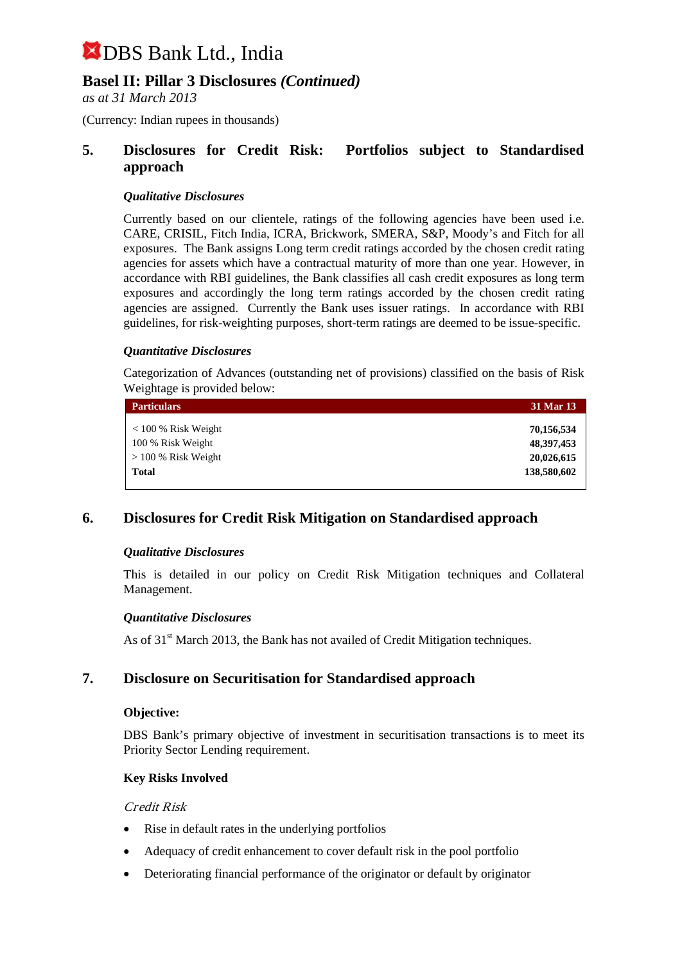## **Basel II: Pillar 3 Disclosures** *(Continued)*

*as at 31 March 2013*

(Currency: Indian rupees in thousands)

### **5. Disclosures for Credit Risk: Portfolios subject to Standardised approach**

#### *Qualitative Disclosures*

Currently based on our clientele, ratings of the following agencies have been used i.e. CARE, CRISIL, Fitch India, ICRA, Brickwork, SMERA, S&P, Moody's and Fitch for all exposures. The Bank assigns Long term credit ratings accorded by the chosen credit rating agencies for assets which have a contractual maturity of more than one year. However, in accordance with RBI guidelines, the Bank classifies all cash credit exposures as long term exposures and accordingly the long term ratings accorded by the chosen credit rating agencies are assigned. Currently the Bank uses issuer ratings. In accordance with RBI guidelines, for risk-weighting purposes, short-term ratings are deemed to be issue-specific.

#### *Quantitative Disclosures*

Categorization of Advances (outstanding net of provisions) classified on the basis of Risk Weightage is provided below:

| <b>Particulars</b>    | 31 Mar 13    |
|-----------------------|--------------|
| $<$ 100 % Risk Weight | 70,156,534   |
| 100 % Risk Weight     | 48, 397, 453 |
| $> 100\%$ Risk Weight | 20,026,615   |
| <b>Total</b>          | 138,580,602  |
|                       |              |

### **6. Disclosures for Credit Risk Mitigation on Standardised approach**

#### *Qualitative Disclosures*

This is detailed in our policy on Credit Risk Mitigation techniques and Collateral Management.

#### *Quantitative Disclosures*

As of  $31<sup>st</sup>$  March 2013, the Bank has not availed of Credit Mitigation techniques.

### **7. Disclosure on Securitisation for Standardised approach**

#### **Objective:**

DBS Bank's primary objective of investment in securitisation transactions is to meet its Priority Sector Lending requirement.

#### **Key Risks Involved**

#### Credit Risk

- Rise in default rates in the underlying portfolios
- Adequacy of credit enhancement to cover default risk in the pool portfolio
- Deteriorating financial performance of the originator or default by originator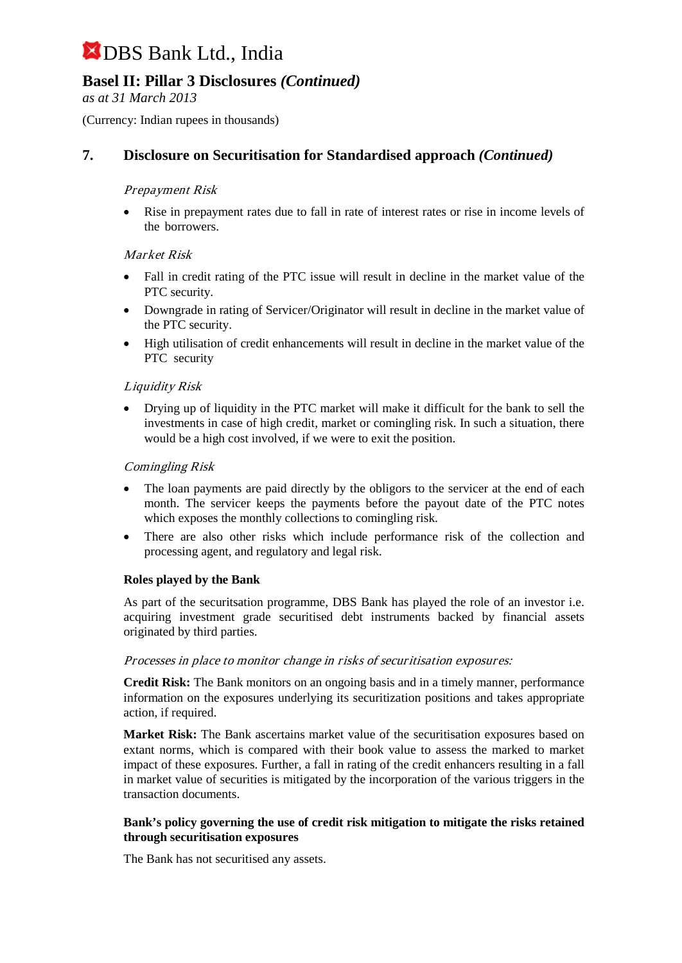# **Basel II: Pillar 3 Disclosures** *(Continued)*

*as at 31 March 2013*

(Currency: Indian rupees in thousands)

# **7. Disclosure on Securitisation for Standardised approach** *(Continued)*

#### Prepayment Risk

• Rise in prepayment rates due to fall in rate of interest rates or rise in income levels of the borrowers.

#### Market Risk

- Fall in credit rating of the PTC issue will result in decline in the market value of the PTC security.
- Downgrade in rating of Servicer/Originator will result in decline in the market value of the PTC security.
- High utilisation of credit enhancements will result in decline in the market value of the PTC security

#### Liquidity Risk

• Drying up of liquidity in the PTC market will make it difficult for the bank to sell the investments in case of high credit, market or comingling risk. In such a situation, there would be a high cost involved, if we were to exit the position.

#### Comingling Risk

- The loan payments are paid directly by the obligors to the servicer at the end of each month. The servicer keeps the payments before the payout date of the PTC notes which exposes the monthly collections to comingling risk.
- There are also other risks which include performance risk of the collection and processing agent, and regulatory and legal risk.

#### **Roles played by the Bank**

As part of the securitsation programme, DBS Bank has played the role of an investor i.e. acquiring investment grade securitised debt instruments backed by financial assets originated by third parties.

#### Processes in place to monitor change in risks of securitisation exposures:

**Credit Risk:** The Bank monitors on an ongoing basis and in a timely manner, performance information on the exposures underlying its securitization positions and takes appropriate action, if required.

**Market Risk:** The Bank ascertains market value of the securitisation exposures based on extant norms, which is compared with their book value to assess the marked to market impact of these exposures. Further, a fall in rating of the credit enhancers resulting in a fall in market value of securities is mitigated by the incorporation of the various triggers in the transaction documents.

#### **Bank's policy governing the use of credit risk mitigation to mitigate the risks retained through securitisation exposures**

The Bank has not securitised any assets.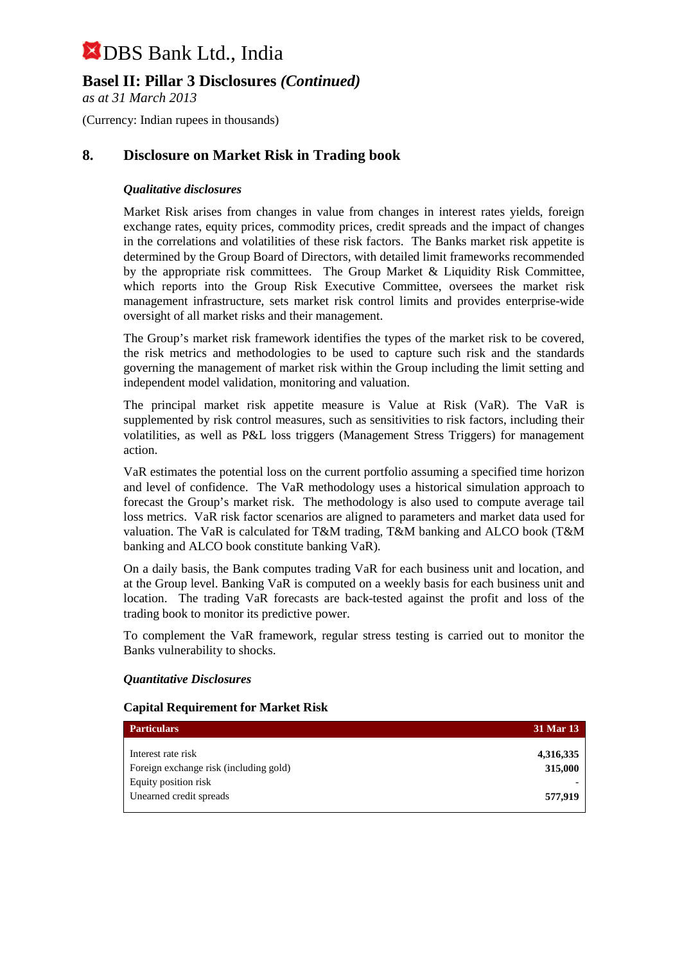# **Basel II: Pillar 3 Disclosures** *(Continued)*

*as at 31 March 2013*

(Currency: Indian rupees in thousands)

## **8. Disclosure on Market Risk in Trading book**

### *Qualitative disclosures*

Market Risk arises from changes in value from changes in interest rates yields, foreign exchange rates, equity prices, commodity prices, credit spreads and the impact of changes in the correlations and volatilities of these risk factors. The Banks market risk appetite is determined by the Group Board of Directors, with detailed limit frameworks recommended by the appropriate risk committees. The Group Market & Liquidity Risk Committee, which reports into the Group Risk Executive Committee, oversees the market risk management infrastructure, sets market risk control limits and provides enterprise-wide oversight of all market risks and their management.

The Group's market risk framework identifies the types of the market risk to be covered, the risk metrics and methodologies to be used to capture such risk and the standards governing the management of market risk within the Group including the limit setting and independent model validation, monitoring and valuation.

The principal market risk appetite measure is Value at Risk (VaR). The VaR is supplemented by risk control measures, such as sensitivities to risk factors, including their volatilities, as well as P&L loss triggers (Management Stress Triggers) for management action.

VaR estimates the potential loss on the current portfolio assuming a specified time horizon and level of confidence. The VaR methodology uses a historical simulation approach to forecast the Group's market risk. The methodology is also used to compute average tail loss metrics. VaR risk factor scenarios are aligned to parameters and market data used for valuation. The VaR is calculated for T&M trading, T&M banking and ALCO book (T&M banking and ALCO book constitute banking VaR).

On a daily basis, the Bank computes trading VaR for each business unit and location, and at the Group level. Banking VaR is computed on a weekly basis for each business unit and location. The trading VaR forecasts are back-tested against the profit and loss of the trading book to monitor its predictive power.

To complement the VaR framework, regular stress testing is carried out to monitor the Banks vulnerability to shocks.

#### *Quantitative Disclosures*

#### **Capital Requirement for Market Risk**

| <b>Particulars</b>                                           | 31 Mar 13            |
|--------------------------------------------------------------|----------------------|
| Interest rate risk<br>Foreign exchange risk (including gold) | 4,316,335<br>315,000 |
| Equity position risk<br>Unearned credit spreads              | 577,919              |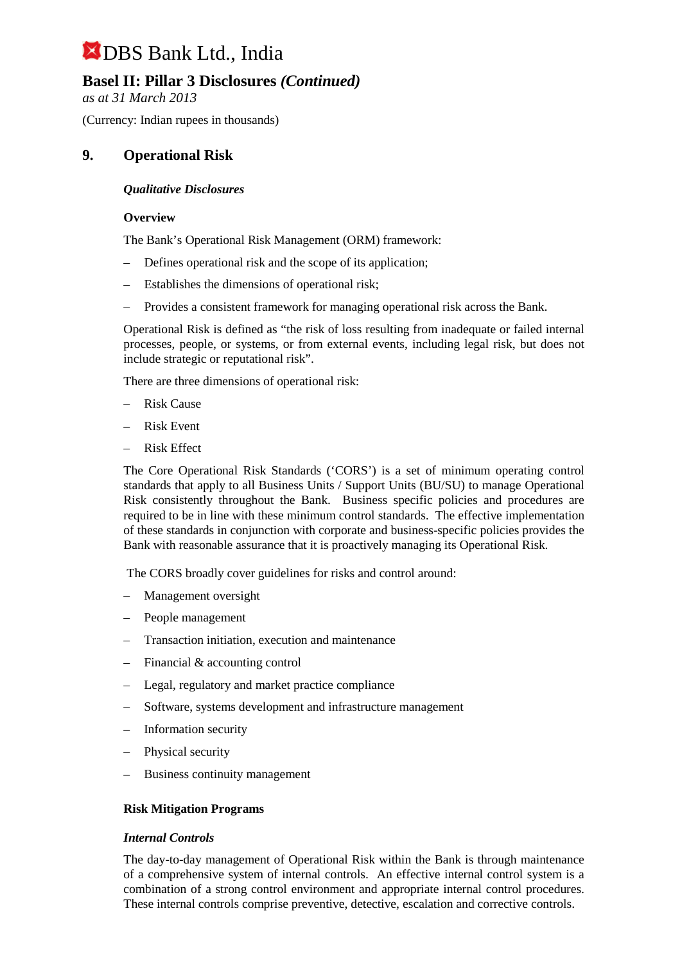# **Basel II: Pillar 3 Disclosures** *(Continued)*

*as at 31 March 2013*

(Currency: Indian rupees in thousands)

## **9. Operational Risk**

#### *Qualitative Disclosures*

#### **Overview**

The Bank's Operational Risk Management (ORM) framework:

- Defines operational risk and the scope of its application;
- Establishes the dimensions of operational risk;
- Provides a consistent framework for managing operational risk across the Bank.

Operational Risk is defined as "the risk of loss resulting from inadequate or failed internal processes, people, or systems, or from external events, including legal risk, but does not include strategic or reputational risk".

There are three dimensions of operational risk:

- Risk Cause
- Risk Event
- Risk Effect

The Core Operational Risk Standards ('CORS') is a set of minimum operating control standards that apply to all Business Units / Support Units (BU/SU) to manage Operational Risk consistently throughout the Bank. Business specific policies and procedures are required to be in line with these minimum control standards. The effective implementation of these standards in conjunction with corporate and business-specific policies provides the Bank with reasonable assurance that it is proactively managing its Operational Risk.

The CORS broadly cover guidelines for risks and control around:

- Management oversight
- People management
- Transaction initiation, execution and maintenance
- Financial & accounting control
- Legal, regulatory and market practice compliance
- Software, systems development and infrastructure management
- Information security
- Physical security
- Business continuity management

#### **Risk Mitigation Programs**

#### *Internal Controls*

The day-to-day management of Operational Risk within the Bank is through maintenance of a comprehensive system of internal controls. An effective internal control system is a combination of a strong control environment and appropriate internal control procedures. These internal controls comprise preventive, detective, escalation and corrective controls.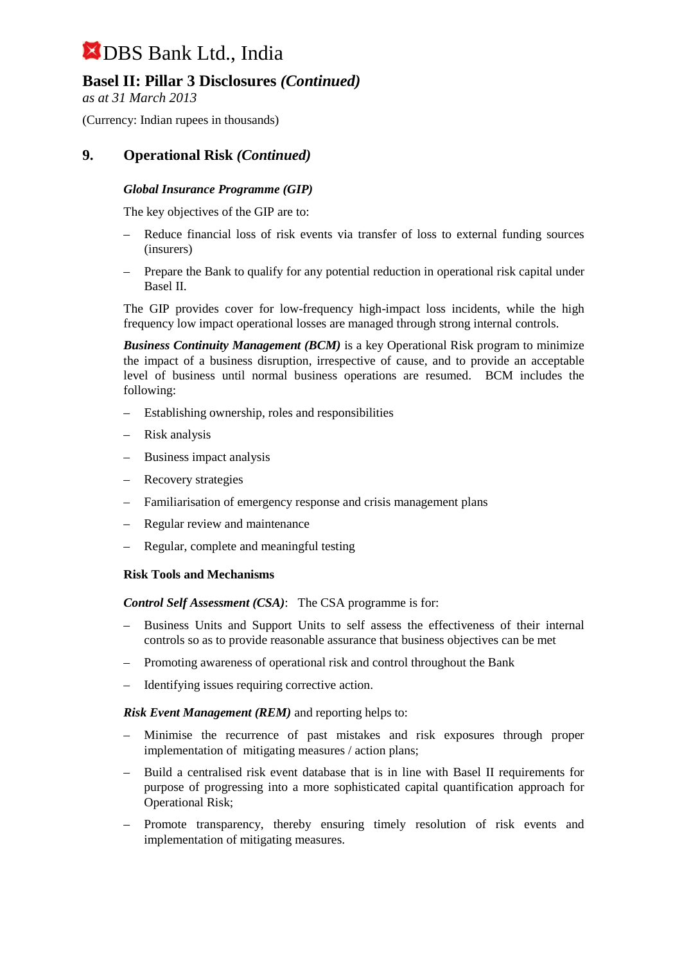# **Basel II: Pillar 3 Disclosures** *(Continued)*

*as at 31 March 2013*

(Currency: Indian rupees in thousands)

# **9. Operational Risk** *(Continued)*

### *Global Insurance Programme (GIP)*

The key objectives of the GIP are to:

- Reduce financial loss of risk events via transfer of loss to external funding sources (insurers)
- Prepare the Bank to qualify for any potential reduction in operational risk capital under Basel II.

The GIP provides cover for low-frequency high-impact loss incidents, while the high frequency low impact operational losses are managed through strong internal controls.

*Business Continuity Management (BCM)* is a key Operational Risk program to minimize the impact of a business disruption, irrespective of cause, and to provide an acceptable level of business until normal business operations are resumed. BCM includes the following:

- Establishing ownership, roles and responsibilities
- Risk analysis
- Business impact analysis
- Recovery strategies
- Familiarisation of emergency response and crisis management plans
- Regular review and maintenance
- Regular, complete and meaningful testing

#### **Risk Tools and Mechanisms**

*Control Self Assessment (CSA)*: The CSA programme is for:

- Business Units and Support Units to self assess the effectiveness of their internal controls so as to provide reasonable assurance that business objectives can be met
- Promoting awareness of operational risk and control throughout the Bank
- Identifying issues requiring corrective action.

#### *Risk Event Management (REM)* and reporting helps to:

- Minimise the recurrence of past mistakes and risk exposures through proper implementation of mitigating measures / action plans;
- Build a centralised risk event database that is in line with Basel II requirements for purpose of progressing into a more sophisticated capital quantification approach for Operational Risk;
- Promote transparency, thereby ensuring timely resolution of risk events and implementation of mitigating measures.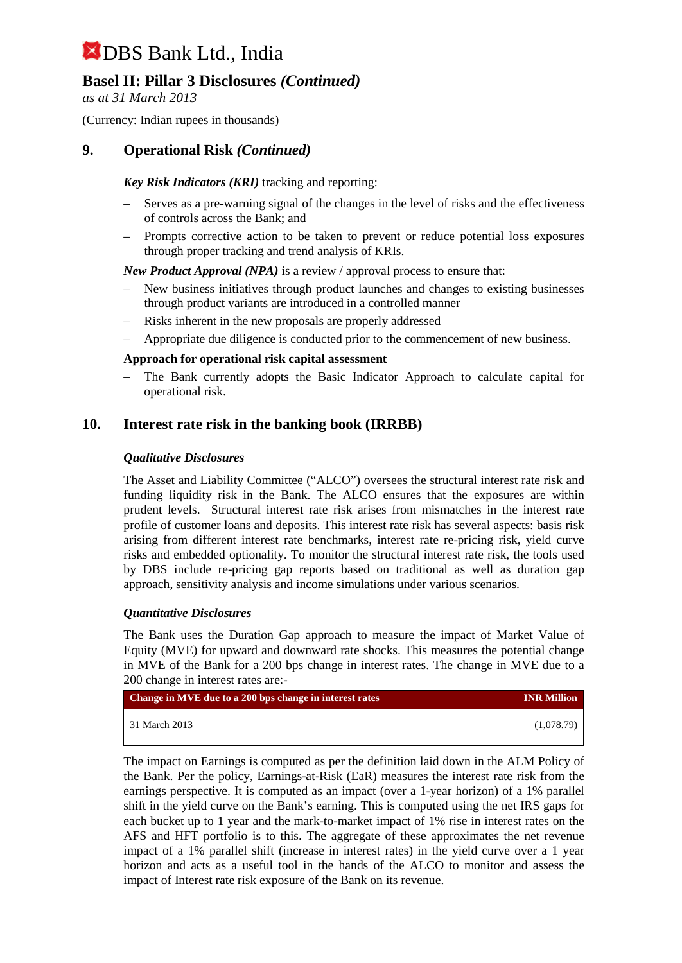# **Basel II: Pillar 3 Disclosures** *(Continued)*

*as at 31 March 2013*

(Currency: Indian rupees in thousands)

### **9. Operational Risk** *(Continued)*

#### *Key Risk Indicators (KRI)* tracking and reporting:

- Serves as a pre-warning signal of the changes in the level of risks and the effectiveness of controls across the Bank; and
- Prompts corrective action to be taken to prevent or reduce potential loss exposures through proper tracking and trend analysis of KRIs.

*New Product Approval (NPA)* is a review / approval process to ensure that:

- New business initiatives through product launches and changes to existing businesses through product variants are introduced in a controlled manner
- Risks inherent in the new proposals are properly addressed
- Appropriate due diligence is conducted prior to the commencement of new business.

#### **Approach for operational risk capital assessment**

– The Bank currently adopts the Basic Indicator Approach to calculate capital for operational risk.

### **10. Interest rate risk in the banking book (IRRBB)**

#### *Qualitative Disclosures*

The Asset and Liability Committee ("ALCO") oversees the structural interest rate risk and funding liquidity risk in the Bank. The ALCO ensures that the exposures are within prudent levels. Structural interest rate risk arises from mismatches in the interest rate profile of customer loans and deposits. This interest rate risk has several aspects: basis risk arising from different interest rate benchmarks, interest rate re-pricing risk, yield curve risks and embedded optionality. To monitor the structural interest rate risk, the tools used by DBS include re-pricing gap reports based on traditional as well as duration gap approach, sensitivity analysis and income simulations under various scenarios.

#### *Quantitative Disclosures*

The Bank uses the Duration Gap approach to measure the impact of Market Value of Equity (MVE) for upward and downward rate shocks. This measures the potential change in MVE of the Bank for a 200 bps change in interest rates. The change in MVE due to a 200 change in interest rates are:-

| Change in MVE due to a 200 bps change in interest rates | <b>INR Million</b> |
|---------------------------------------------------------|--------------------|
| 31 March 2013                                           | (1.078.79)         |

The impact on Earnings is computed as per the definition laid down in the ALM Policy of the Bank. Per the policy, Earnings-at-Risk (EaR) measures the interest rate risk from the earnings perspective. It is computed as an impact (over a 1-year horizon) of a 1% parallel shift in the yield curve on the Bank's earning. This is computed using the net IRS gaps for each bucket up to 1 year and the mark-to-market impact of 1% rise in interest rates on the AFS and HFT portfolio is to this. The aggregate of these approximates the net revenue impact of a 1% parallel shift (increase in interest rates) in the yield curve over a 1 year horizon and acts as a useful tool in the hands of the ALCO to monitor and assess the impact of Interest rate risk exposure of the Bank on its revenue.